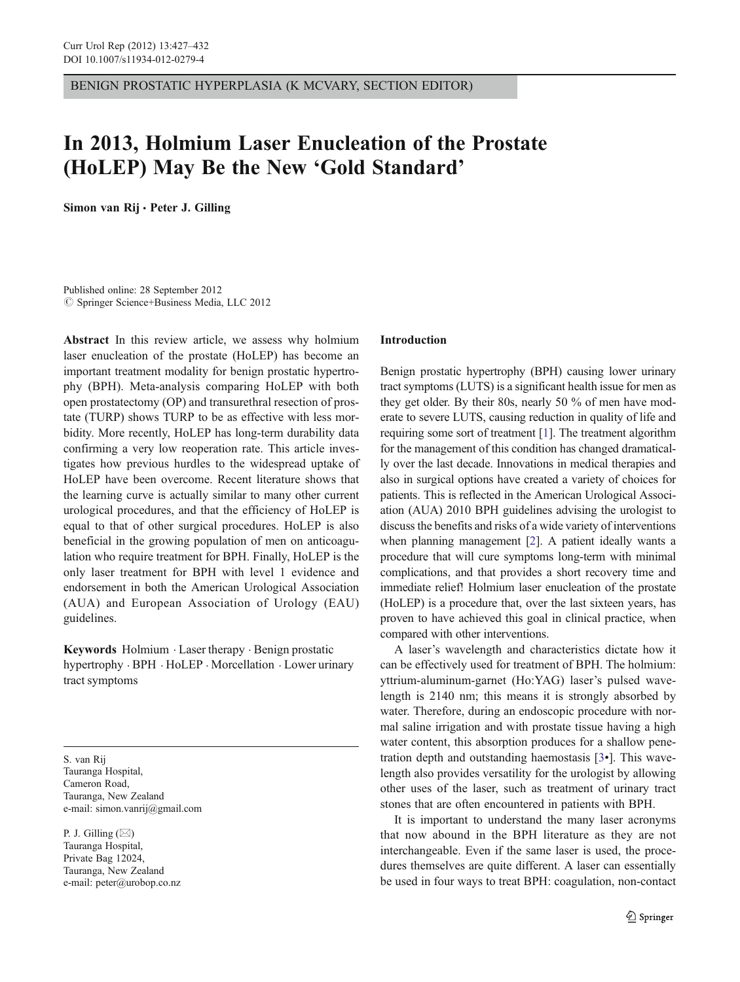BENIGN PROSTATIC HYPERPLASIA (K MCVARY, SECTION EDITOR)

# In 2013, Holmium Laser Enucleation of the Prostate (HoLEP) May Be the New 'Gold Standard'

Simon van Rij · Peter J. Gilling

Published online: 28 September 2012  $©$  Springer Science+Business Media, LLC 2012

Abstract In this review article, we assess why holmium laser enucleation of the prostate (HoLEP) has become an important treatment modality for benign prostatic hypertrophy (BPH). Meta-analysis comparing HoLEP with both open prostatectomy (OP) and transurethral resection of prostate (TURP) shows TURP to be as effective with less morbidity. More recently, HoLEP has long-term durability data confirming a very low reoperation rate. This article investigates how previous hurdles to the widespread uptake of HoLEP have been overcome. Recent literature shows that the learning curve is actually similar to many other current urological procedures, and that the efficiency of HoLEP is equal to that of other surgical procedures. HoLEP is also beneficial in the growing population of men on anticoagulation who require treatment for BPH. Finally, HoLEP is the only laser treatment for BPH with level 1 evidence and endorsement in both the American Urological Association (AUA) and European Association of Urology (EAU) guidelines.

Keywords Holmium . Laser therapy . Benign prostatic hypertrophy . BPH . HoLEP . Morcellation . Lower urinary tract symptoms

S. van Rij Tauranga Hospital, Cameron Road, Tauranga, New Zealand e-mail: simon.vanrij@gmail.com

P. J. Gilling  $(\boxtimes)$ Tauranga Hospital, Private Bag 12024, Tauranga, New Zealand e-mail: peter@urobop.co.nz

# Introduction

Benign prostatic hypertrophy (BPH) causing lower urinary tract symptoms (LUTS) is a significant health issue for men as they get older. By their 80s, nearly 50 % of men have moderate to severe LUTS, causing reduction in quality of life and requiring some sort of treatment [\[1\]](#page-4-0). The treatment algorithm for the management of this condition has changed dramatically over the last decade. Innovations in medical therapies and also in surgical options have created a variety of choices for patients. This is reflected in the American Urological Association (AUA) 2010 BPH guidelines advising the urologist to discuss the benefits and risks of a wide variety of interventions when planning management [[2](#page-4-0)]. A patient ideally wants a procedure that will cure symptoms long-term with minimal complications, and that provides a short recovery time and immediate relief! Holmium laser enucleation of the prostate (HoLEP) is a procedure that, over the last sixteen years, has proven to have achieved this goal in clinical practice, when compared with other interventions.

A laser's wavelength and characteristics dictate how it can be effectively used for treatment of BPH. The holmium: yttrium-aluminum-garnet (Ho:YAG) laser's pulsed wavelength is 2140 nm; this means it is strongly absorbed by water. Therefore, during an endoscopic procedure with normal saline irrigation and with prostate tissue having a high water content, this absorption produces for a shallow penetration depth and outstanding haemostasis [[3](#page-4-0)•]. This wavelength also provides versatility for the urologist by allowing other uses of the laser, such as treatment of urinary tract stones that are often encountered in patients with BPH.

It is important to understand the many laser acronyms that now abound in the BPH literature as they are not interchangeable. Even if the same laser is used, the procedures themselves are quite different. A laser can essentially be used in four ways to treat BPH: coagulation, non-contact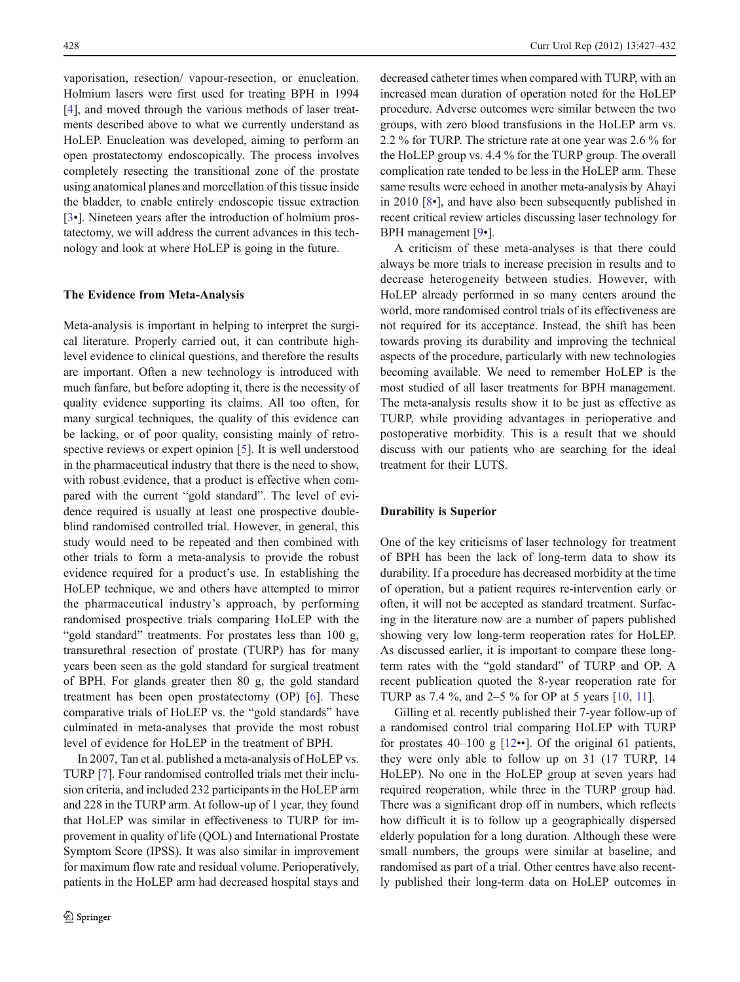vaporisation, resection/ vapour-resection, or enucleation. Holmium lasers were first used for treating BPH in 1994 [\[4](#page-4-0)], and moved through the various methods of laser treatments described above to what we currently understand as HoLEP. Enucleation was developed, aiming to perform an open prostatectomy endoscopically. The process involves completely resecting the transitional zone of the prostate using anatomical planes and morcellation of this tissue inside the bladder, to enable entirely endoscopic tissue extraction [\[3](#page-4-0)•]. Nineteen years after the introduction of holmium prostatectomy, we will address the current advances in this technology and look at where HoLEP is going in the future.

### The Evidence from Meta-Analysis

Meta-analysis is important in helping to interpret the surgical literature. Properly carried out, it can contribute highlevel evidence to clinical questions, and therefore the results are important. Often a new technology is introduced with much fanfare, but before adopting it, there is the necessity of quality evidence supporting its claims. All too often, for many surgical techniques, the quality of this evidence can be lacking, or of poor quality, consisting mainly of retrospective reviews or expert opinion [\[5](#page-4-0)]. It is well understood in the pharmaceutical industry that there is the need to show, with robust evidence, that a product is effective when compared with the current "gold standard". The level of evidence required is usually at least one prospective doubleblind randomised controlled trial. However, in general, this study would need to be repeated and then combined with other trials to form a meta-analysis to provide the robust evidence required for a product's use. In establishing the HoLEP technique, we and others have attempted to mirror the pharmaceutical industry's approach, by performing randomised prospective trials comparing HoLEP with the "gold standard" treatments. For prostates less than 100 g, transurethral resection of prostate (TURP) has for many years been seen as the gold standard for surgical treatment of BPH. For glands greater then 80 g, the gold standard treatment has been open prostatectomy (OP) [\[6\]](#page-4-0). These comparative trials of HoLEP vs. the "gold standards" have culminated in meta-analyses that provide the most robust level of evidence for HoLEP in the treatment of BPH.

In 2007, Tan et al. published a meta-analysis of HoLEP vs. TURP [[7\]](#page-4-0). Four randomised controlled trials met their inclusion criteria, and included 232 participants in the HoLEP arm and 228 in the TURP arm. At follow-up of 1 year, they found that HoLEP was similar in effectiveness to TURP for improvement in quality of life (QOL) and International Prostate Symptom Score (IPSS). It was also similar in improvement for maximum flow rate and residual volume. Perioperatively, patients in the HoLEP arm had decreased hospital stays and decreased catheter times when compared with TURP, with an increased mean duration of operation noted for the HoLEP procedure. Adverse outcomes were similar between the two groups, with zero blood transfusions in the HoLEP arm vs. 2.2 % for TURP. The stricture rate at one year was 2.6 % for the HoLEP group vs. 4.4 % for the TURP group. The overall complication rate tended to be less in the HoLEP arm. These same results were echoed in another meta-analysis by Ahayi in 2010 [\[8](#page-4-0)•], and have also been subsequently published in recent critical review articles discussing laser technology for BPH management [\[9](#page-4-0)•].

A criticism of these meta-analyses is that there could always be more trials to increase precision in results and to decrease heterogeneity between studies. However, with HoLEP already performed in so many centers around the world, more randomised control trials of its effectiveness are not required for its acceptance. Instead, the shift has been towards proving its durability and improving the technical aspects of the procedure, particularly with new technologies becoming available. We need to remember HoLEP is the most studied of all laser treatments for BPH management. The meta-analysis results show it to be just as effective as TURP, while providing advantages in perioperative and postoperative morbidity. This is a result that we should discuss with our patients who are searching for the ideal treatment for their LUTS.

#### Durability is Superior

One of the key criticisms of laser technology for treatment of BPH has been the lack of long-term data to show its durability. If a procedure has decreased morbidity at the time of operation, but a patient requires re-intervention early or often, it will not be accepted as standard treatment. Surfacing in the literature now are a number of papers published showing very low long-term reoperation rates for HoLEP. As discussed earlier, it is important to compare these longterm rates with the "gold standard" of TURP and OP. A recent publication quoted the 8-year reoperation rate for TURP as 7.4 %, and 2–5 % for OP at 5 years [[10](#page-4-0), [11\]](#page-4-0).

Gilling et al. recently published their 7-year follow-up of a randomised control trial comparing HoLEP with TURP for prostates  $40-100$  g  $[12\bullet]$  $[12\bullet]$ . Of the original 61 patients, they were only able to follow up on 31 (17 TURP, 14 HoLEP). No one in the HoLEP group at seven years had required reoperation, while three in the TURP group had. There was a significant drop off in numbers, which reflects how difficult it is to follow up a geographically dispersed elderly population for a long duration. Although these were small numbers, the groups were similar at baseline, and randomised as part of a trial. Other centres have also recently published their long-term data on HoLEP outcomes in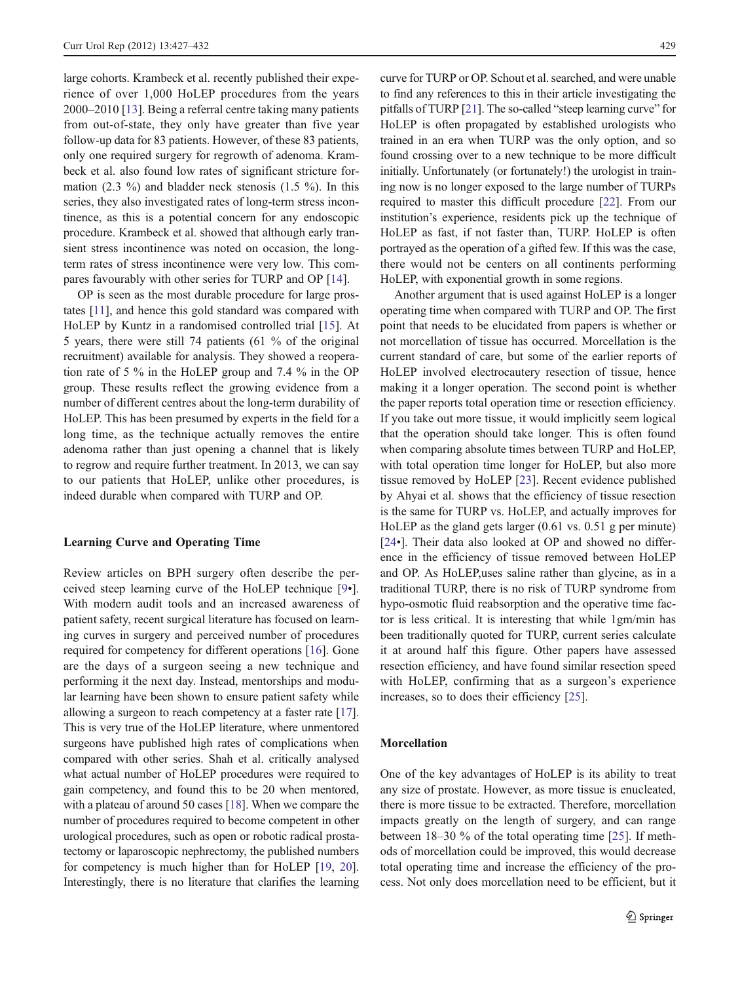large cohorts. Krambeck et al. recently published their experience of over 1,000 HoLEP procedures from the years 2000–2010 [\[13](#page-4-0)]. Being a referral centre taking many patients from out-of-state, they only have greater than five year follow-up data for 83 patients. However, of these 83 patients, only one required surgery for regrowth of adenoma. Krambeck et al. also found low rates of significant stricture formation (2.3 %) and bladder neck stenosis (1.5 %). In this series, they also investigated rates of long-term stress incontinence, as this is a potential concern for any endoscopic procedure. Krambeck et al. showed that although early transient stress incontinence was noted on occasion, the longterm rates of stress incontinence were very low. This compares favourably with other series for TURP and OP [\[14](#page-4-0)].

OP is seen as the most durable procedure for large prostates [\[11\]](#page-4-0), and hence this gold standard was compared with HoLEP by Kuntz in a randomised controlled trial [\[15](#page-4-0)]. At 5 years, there were still 74 patients (61 % of the original recruitment) available for analysis. They showed a reoperation rate of 5 % in the HoLEP group and 7.4 % in the OP group. These results reflect the growing evidence from a number of different centres about the long-term durability of HoLEP. This has been presumed by experts in the field for a long time, as the technique actually removes the entire adenoma rather than just opening a channel that is likely to regrow and require further treatment. In 2013, we can say to our patients that HoLEP, unlike other procedures, is indeed durable when compared with TURP and OP.

#### Learning Curve and Operating Time

Review articles on BPH surgery often describe the perceived steep learning curve of the HoLEP technique [[9](#page-4-0)•]. With modern audit tools and an increased awareness of patient safety, recent surgical literature has focused on learning curves in surgery and perceived number of procedures required for competency for different operations [\[16](#page-4-0)]. Gone are the days of a surgeon seeing a new technique and performing it the next day. Instead, mentorships and modular learning have been shown to ensure patient safety while allowing a surgeon to reach competency at a faster rate [[17\]](#page-4-0). This is very true of the HoLEP literature, where unmentored surgeons have published high rates of complications when compared with other series. Shah et al. critically analysed what actual number of HoLEP procedures were required to gain competency, and found this to be 20 when mentored, with a plateau of around 50 cases [[18\]](#page-4-0). When we compare the number of procedures required to become competent in other urological procedures, such as open or robotic radical prostatectomy or laparoscopic nephrectomy, the published numbers for competency is much higher than for HoLEP [\[19,](#page-4-0) [20](#page-4-0)]. Interestingly, there is no literature that clarifies the learning

curve for TURP or OP. Schout et al. searched, and were unable to find any references to this in their article investigating the pitfalls of TURP [[21](#page-4-0)]. The so-called "steep learning curve" for HoLEP is often propagated by established urologists who trained in an era when TURP was the only option, and so found crossing over to a new technique to be more difficult initially. Unfortunately (or fortunately!) the urologist in training now is no longer exposed to the large number of TURPs required to master this difficult procedure [[22\]](#page-4-0). From our institution's experience, residents pick up the technique of HoLEP as fast, if not faster than, TURP. HoLEP is often portrayed as the operation of a gifted few. If this was the case, there would not be centers on all continents performing HoLEP, with exponential growth in some regions.

Another argument that is used against HoLEP is a longer operating time when compared with TURP and OP. The first point that needs to be elucidated from papers is whether or not morcellation of tissue has occurred. Morcellation is the current standard of care, but some of the earlier reports of HoLEP involved electrocautery resection of tissue, hence making it a longer operation. The second point is whether the paper reports total operation time or resection efficiency. If you take out more tissue, it would implicitly seem logical that the operation should take longer. This is often found when comparing absolute times between TURP and HoLEP, with total operation time longer for HoLEP, but also more tissue removed by HoLEP [\[23](#page-4-0)]. Recent evidence published by Ahyai et al. shows that the efficiency of tissue resection is the same for TURP vs. HoLEP, and actually improves for HoLEP as the gland gets larger (0.61 vs. 0.51 g per minute) [\[24](#page-4-0)•]. Their data also looked at OP and showed no difference in the efficiency of tissue removed between HoLEP and OP. As HoLEP,uses saline rather than glycine, as in a traditional TURP, there is no risk of TURP syndrome from hypo-osmotic fluid reabsorption and the operative time factor is less critical. It is interesting that while 1gm/min has been traditionally quoted for TURP, current series calculate it at around half this figure. Other papers have assessed resection efficiency, and have found similar resection speed with HoLEP, confirming that as a surgeon's experience increases, so to does their efficiency [[25\]](#page-4-0).

# Morcellation

One of the key advantages of HoLEP is its ability to treat any size of prostate. However, as more tissue is enucleated, there is more tissue to be extracted. Therefore, morcellation impacts greatly on the length of surgery, and can range between 18–30 % of the total operating time [[25\]](#page-4-0). If methods of morcellation could be improved, this would decrease total operating time and increase the efficiency of the process. Not only does morcellation need to be efficient, but it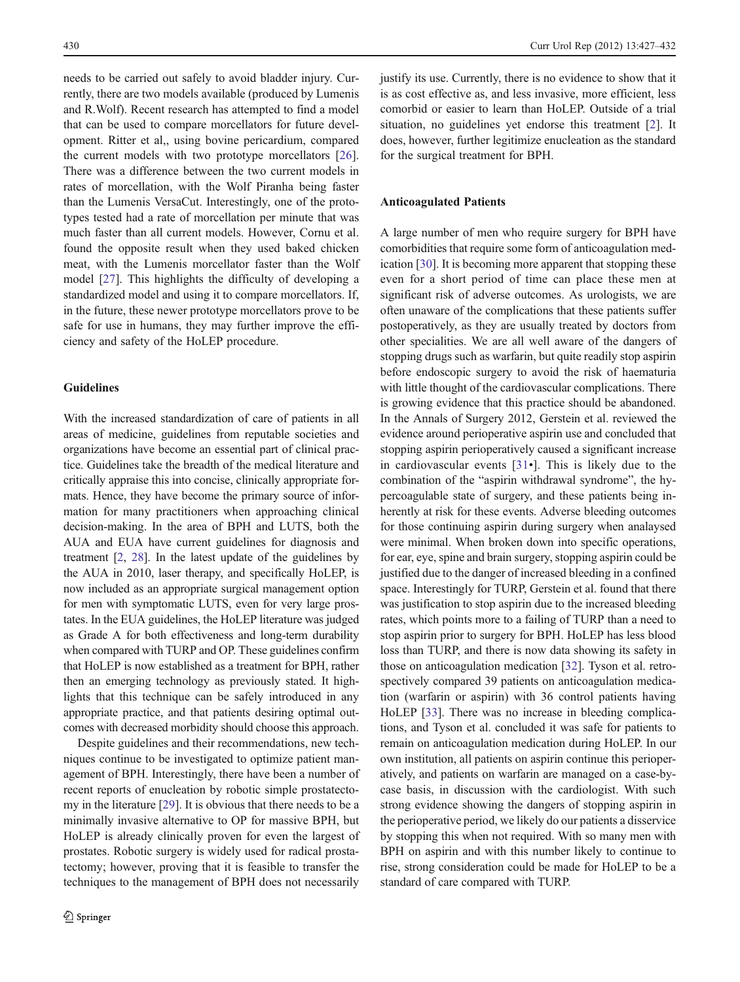needs to be carried out safely to avoid bladder injury. Currently, there are two models available (produced by Lumenis and R.Wolf). Recent research has attempted to find a model that can be used to compare morcellators for future development. Ritter et al,, using bovine pericardium, compared the current models with two prototype morcellators [\[26](#page-4-0)]. There was a difference between the two current models in rates of morcellation, with the Wolf Piranha being faster than the Lumenis VersaCut. Interestingly, one of the prototypes tested had a rate of morcellation per minute that was much faster than all current models. However, Cornu et al. found the opposite result when they used baked chicken meat, with the Lumenis morcellator faster than the Wolf model [[27\]](#page-4-0). This highlights the difficulty of developing a standardized model and using it to compare morcellators. If, in the future, these newer prototype morcellators prove to be safe for use in humans, they may further improve the efficiency and safety of the HoLEP procedure.

## Guidelines

With the increased standardization of care of patients in all areas of medicine, guidelines from reputable societies and organizations have become an essential part of clinical practice. Guidelines take the breadth of the medical literature and critically appraise this into concise, clinically appropriate formats. Hence, they have become the primary source of information for many practitioners when approaching clinical decision-making. In the area of BPH and LUTS, both the AUA and EUA have current guidelines for diagnosis and treatment [[2](#page-4-0), [28\]](#page-4-0). In the latest update of the guidelines by the AUA in 2010, laser therapy, and specifically HoLEP, is now included as an appropriate surgical management option for men with symptomatic LUTS, even for very large prostates. In the EUA guidelines, the HoLEP literature was judged as Grade A for both effectiveness and long-term durability when compared with TURP and OP. These guidelines confirm that HoLEP is now established as a treatment for BPH, rather then an emerging technology as previously stated. It highlights that this technique can be safely introduced in any appropriate practice, and that patients desiring optimal outcomes with decreased morbidity should choose this approach.

Despite guidelines and their recommendations, new techniques continue to be investigated to optimize patient management of BPH. Interestingly, there have been a number of recent reports of enucleation by robotic simple prostatectomy in the literature [[29\]](#page-5-0). It is obvious that there needs to be a minimally invasive alternative to OP for massive BPH, but HoLEP is already clinically proven for even the largest of prostates. Robotic surgery is widely used for radical prostatectomy; however, proving that it is feasible to transfer the techniques to the management of BPH does not necessarily

justify its use. Currently, there is no evidence to show that it is as cost effective as, and less invasive, more efficient, less comorbid or easier to learn than HoLEP. Outside of a trial situation, no guidelines yet endorse this treatment [[2](#page-4-0)]. It does, however, further legitimize enucleation as the standard for the surgical treatment for BPH.

# Anticoagulated Patients

A large number of men who require surgery for BPH have comorbidities that require some form of anticoagulation medication [\[30\]](#page-5-0). It is becoming more apparent that stopping these even for a short period of time can place these men at significant risk of adverse outcomes. As urologists, we are often unaware of the complications that these patients suffer postoperatively, as they are usually treated by doctors from other specialities. We are all well aware of the dangers of stopping drugs such as warfarin, but quite readily stop aspirin before endoscopic surgery to avoid the risk of haematuria with little thought of the cardiovascular complications. There is growing evidence that this practice should be abandoned. In the Annals of Surgery 2012, Gerstein et al. reviewed the evidence around perioperative aspirin use and concluded that stopping aspirin perioperatively caused a significant increase in cardiovascular events [[31](#page-5-0)•]. This is likely due to the combination of the "aspirin withdrawal syndrome", the hypercoagulable state of surgery, and these patients being inherently at risk for these events. Adverse bleeding outcomes for those continuing aspirin during surgery when analaysed were minimal. When broken down into specific operations, for ear, eye, spine and brain surgery, stopping aspirin could be justified due to the danger of increased bleeding in a confined space. Interestingly for TURP, Gerstein et al. found that there was justification to stop aspirin due to the increased bleeding rates, which points more to a failing of TURP than a need to stop aspirin prior to surgery for BPH. HoLEP has less blood loss than TURP, and there is now data showing its safety in those on anticoagulation medication [\[32](#page-5-0)]. Tyson et al. retrospectively compared 39 patients on anticoagulation medication (warfarin or aspirin) with 36 control patients having HoLEP [[33](#page-5-0)]. There was no increase in bleeding complications, and Tyson et al. concluded it was safe for patients to remain on anticoagulation medication during HoLEP. In our own institution, all patients on aspirin continue this perioperatively, and patients on warfarin are managed on a case-bycase basis, in discussion with the cardiologist. With such strong evidence showing the dangers of stopping aspirin in the perioperative period, we likely do our patients a disservice by stopping this when not required. With so many men with BPH on aspirin and with this number likely to continue to rise, strong consideration could be made for HoLEP to be a standard of care compared with TURP.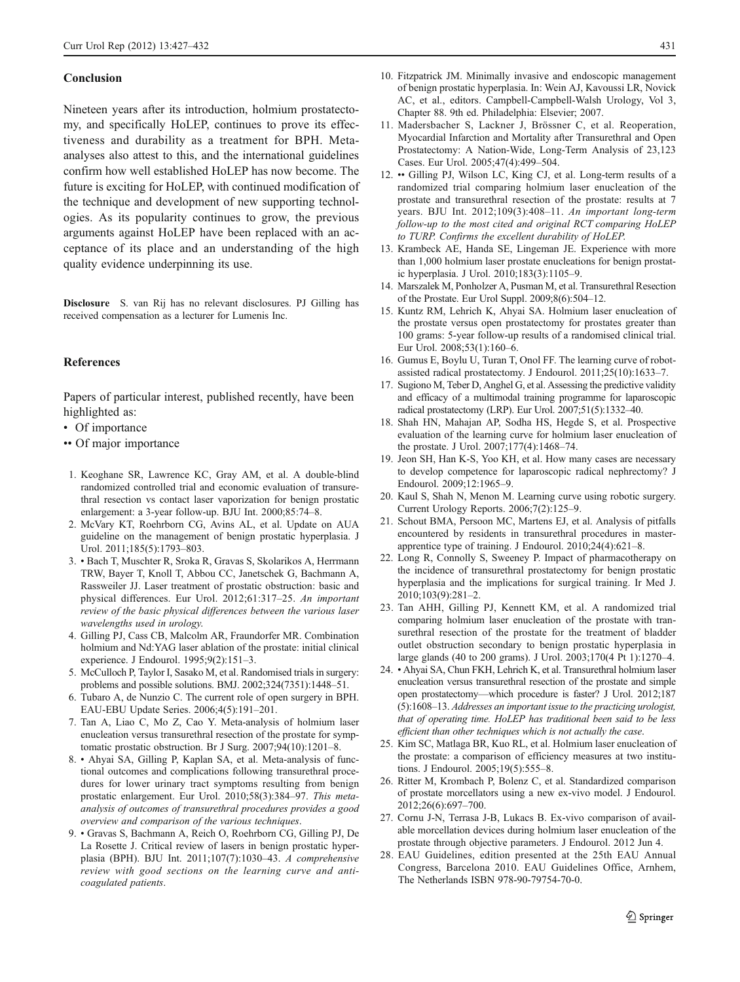#### <span id="page-4-0"></span>Conclusion

Nineteen years after its introduction, holmium prostatectomy, and specifically HoLEP, continues to prove its effectiveness and durability as a treatment for BPH. Metaanalyses also attest to this, and the international guidelines confirm how well established HoLEP has now become. The future is exciting for HoLEP, with continued modification of the technique and development of new supporting technologies. As its popularity continues to grow, the previous arguments against HoLEP have been replaced with an acceptance of its place and an understanding of the high quality evidence underpinning its use.

Disclosure S. van Rij has no relevant disclosures. PJ Gilling has received compensation as a lecturer for Lumenis Inc.

#### References

Papers of particular interest, published recently, have been highlighted as:

- Of importance
- •• Of major importance
- 1. Keoghane SR, Lawrence KC, Gray AM, et al. A double-blind randomized controlled trial and economic evaluation of transurethral resection vs contact laser vaporization for benign prostatic enlargement: a 3-year follow-up. BJU Int. 2000;85:74–8.
- 2. McVary KT, Roehrborn CG, Avins AL, et al. Update on AUA guideline on the management of benign prostatic hyperplasia. J Urol. 2011;185(5):1793–803.
- 3. Bach T, Muschter R, Sroka R, Gravas S, Skolarikos A, Herrmann TRW, Bayer T, Knoll T, Abbou CC, Janetschek G, Bachmann A, Rassweiler JJ. Laser treatment of prostatic obstruction: basic and physical differences. Eur Urol. 2012;61:317–25. An important review of the basic physical differences between the various laser wavelengths used in urology.
- 4. Gilling PJ, Cass CB, Malcolm AR, Fraundorfer MR. Combination holmium and Nd:YAG laser ablation of the prostate: initial clinical experience. J Endourol. 1995;9(2):151–3.
- 5. McCulloch P, Taylor I, Sasako M, et al. Randomised trials in surgery: problems and possible solutions. BMJ. 2002;324(7351):1448–51.
- 6. Tubaro A, de Nunzio C. The current role of open surgery in BPH. EAU-EBU Update Series. 2006;4(5):191–201.
- 7. Tan A, Liao C, Mo Z, Cao Y. Meta-analysis of holmium laser enucleation versus transurethral resection of the prostate for symptomatic prostatic obstruction. Br J Surg. 2007;94(10):1201–8.
- 8. Ahyai SA, Gilling P, Kaplan SA, et al. Meta-analysis of functional outcomes and complications following transurethral procedures for lower urinary tract symptoms resulting from benign prostatic enlargement. Eur Urol. 2010;58(3):384–97. This metaanalysis of outcomes of transurethral procedures provides a good overview and comparison of the various techniques.
- 9. Gravas S, Bachmann A, Reich O, Roehrborn CG, Gilling PJ, De La Rosette J. Critical review of lasers in benign prostatic hyperplasia (BPH). BJU Int. 2011;107(7):1030–43. A comprehensive review with good sections on the learning curve and anticoagulated patients.
- 10. Fitzpatrick JM. Minimally invasive and endoscopic management of benign prostatic hyperplasia. In: Wein AJ, Kavoussi LR, Novick AC, et al., editors. Campbell-Campbell-Walsh Urology, Vol 3, Chapter 88. 9th ed. Philadelphia: Elsevier; 2007.
- 11. Madersbacher S, Lackner J, Brössner C, et al. Reoperation, Myocardial Infarction and Mortality after Transurethral and Open Prostatectomy: A Nation-Wide, Long-Term Analysis of 23,123 Cases. Eur Urol. 2005;47(4):499–504.
- 12. •• Gilling PJ, Wilson LC, King CJ, et al. Long-term results of a randomized trial comparing holmium laser enucleation of the prostate and transurethral resection of the prostate: results at 7 years. BJU Int. 2012;109(3):408–11. An important long-term follow-up to the most cited and original RCT comparing HoLEP to TURP. Confirms the excellent durability of HoLEP.
- 13. Krambeck AE, Handa SE, Lingeman JE. Experience with more than 1,000 holmium laser prostate enucleations for benign prostatic hyperplasia. J Urol. 2010;183(3):1105–9.
- 14. Marszalek M, Ponholzer A, Pusman M, et al. Transurethral Resection of the Prostate. Eur Urol Suppl. 2009;8(6):504–12.
- 15. Kuntz RM, Lehrich K, Ahyai SA. Holmium laser enucleation of the prostate versus open prostatectomy for prostates greater than 100 grams: 5-year follow-up results of a randomised clinical trial. Eur Urol. 2008;53(1):160–6.
- 16. Gumus E, Boylu U, Turan T, Onol FF. The learning curve of robotassisted radical prostatectomy. J Endourol. 2011;25(10):1633–7.
- 17. Sugiono M, Teber D, Anghel G, et al. Assessing the predictive validity and efficacy of a multimodal training programme for laparoscopic radical prostatectomy (LRP). Eur Urol. 2007;51(5):1332–40.
- 18. Shah HN, Mahajan AP, Sodha HS, Hegde S, et al. Prospective evaluation of the learning curve for holmium laser enucleation of the prostate. J Urol. 2007;177(4):1468–74.
- 19. Jeon SH, Han K-S, Yoo KH, et al. How many cases are necessary to develop competence for laparoscopic radical nephrectomy? J Endourol. 2009;12:1965–9.
- 20. Kaul S, Shah N, Menon M. Learning curve using robotic surgery. Current Urology Reports. 2006;7(2):125–9.
- 21. Schout BMA, Persoon MC, Martens EJ, et al. Analysis of pitfalls encountered by residents in transurethral procedures in masterapprentice type of training. J Endourol. 2010;24(4):621–8.
- 22. Long R, Connolly S, Sweeney P. Impact of pharmacotherapy on the incidence of transurethral prostatectomy for benign prostatic hyperplasia and the implications for surgical training. Ir Med J. 2010;103(9):281–2.
- 23. Tan AHH, Gilling PJ, Kennett KM, et al. A randomized trial comparing holmium laser enucleation of the prostate with transurethral resection of the prostate for the treatment of bladder outlet obstruction secondary to benign prostatic hyperplasia in large glands (40 to 200 grams). J Urol. 2003;170(4 Pt 1):1270–4.
- 24. Ahyai SA, Chun FKH, Lehrich K, et al. Transurethral holmium laser enucleation versus transurethral resection of the prostate and simple open prostatectomy—which procedure is faster? J Urol. 2012;187 (5):1608–13. Addresses an important issue to the practicing urologist, that of operating time. HoLEP has traditional been said to be less efficient than other techniques which is not actually the case.
- 25. Kim SC, Matlaga BR, Kuo RL, et al. Holmium laser enucleation of the prostate: a comparison of efficiency measures at two institutions. J Endourol. 2005;19(5):555–8.
- 26. Ritter M, Krombach P, Bolenz C, et al. Standardized comparison of prostate morcellators using a new ex-vivo model. J Endourol. 2012;26(6):697–700.
- 27. Cornu J-N, Terrasa J-B, Lukacs B. Ex-vivo comparison of available morcellation devices during holmium laser enucleation of the prostate through objective parameters. J Endourol. 2012 Jun 4.
- 28. EAU Guidelines, edition presented at the 25th EAU Annual Congress, Barcelona 2010. EAU Guidelines Office, Arnhem, The Netherlands ISBN 978-90-79754-70-0.